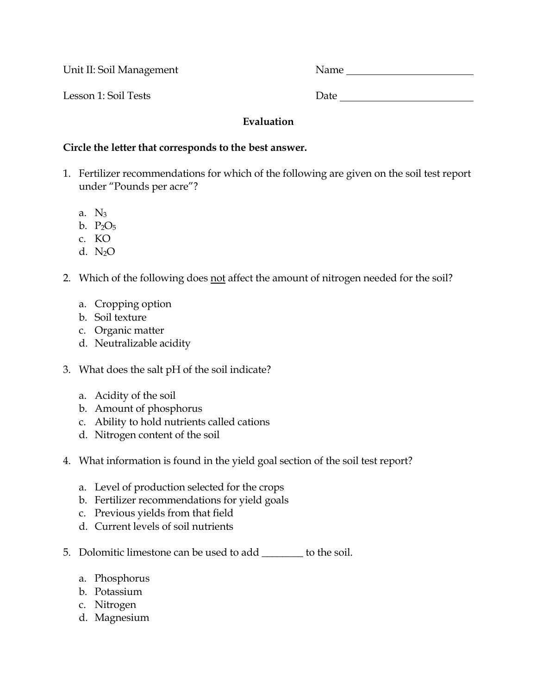Unit II: Soil Management Name

Lesson 1: Soil Tests Date

## **Evaluation**

## **Circle the letter that corresponds to the best answer.**

- 1. Fertilizer recommendations for which of the following are given on the soil test report under "Pounds per acre"?
	- a. N3
	- b. P2O5
	- c. KO
	- d.  $N_2O$
- 2. Which of the following does not affect the amount of nitrogen needed for the soil?
	- a. Cropping option
	- b. Soil texture
	- c. Organic matter
	- d. Neutralizable acidity
- 3. What does the salt pH of the soil indicate?
	- a. Acidity of the soil
	- b. Amount of phosphorus
	- c. Ability to hold nutrients called cations
	- d. Nitrogen content of the soil
- 4. What information is found in the yield goal section of the soil test report?
	- a. Level of production selected for the crops
	- b. Fertilizer recommendations for yield goals
	- c. Previous yields from that field
	- d. Current levels of soil nutrients
- 5. Dolomitic limestone can be used to add \_\_\_\_\_\_\_\_ to the soil.
	- a. Phosphorus
	- b. Potassium
	- c. Nitrogen
	- d. Magnesium